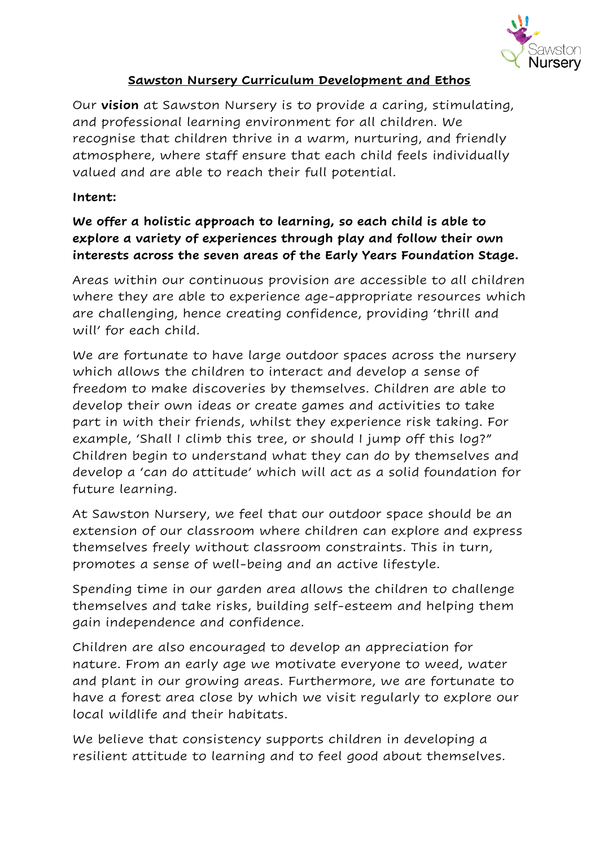

### **Sawston Nursery Curriculum Development and Ethos**

Our **vision** at Sawston Nursery is to provide a caring, stimulating, and professional learning environment for all children. We recognise that children thrive in a warm, nurturing, and friendly atmosphere, where staff ensure that each child feels individually valued and are able to reach their full potential.

### **Intent:**

# **We offer a holistic approach to learning, so each child is able to explore a variety of experiences through play and follow their own interests across the seven areas of the Early Years Foundation Stage.**

Areas within our continuous provision are accessible to all children where they are able to experience age-appropriate resources which are challenging, hence creating confidence, providing 'thrill and will' for each child.

We are fortunate to have large outdoor spaces across the nursery which allows the children to interact and develop a sense of freedom to make discoveries by themselves. Children are able to develop their own ideas or create games and activities to take part in with their friends, whilst they experience risk taking. For example, 'Shall I climb this tree, or should I jump off this log?" Children begin to understand what they can do by themselves and develop a 'can do attitude' which will act as a solid foundation for future learning.

At Sawston Nursery, we feel that our outdoor space should be an extension of our classroom where children can explore and express themselves freely without classroom constraints. This in turn, promotes a sense of well-being and an active lifestyle.

Spending time in our garden area allows the children to challenge themselves and take risks, building self-esteem and helping them gain independence and confidence.

Children are also encouraged to develop an appreciation for nature. From an early age we motivate everyone to weed, water and plant in our growing areas. Furthermore, we are fortunate to have a forest area close by which we visit regularly to explore our local wildlife and their habitats.

We believe that consistency supports children in developing a resilient attitude to learning and to feel good about themselves.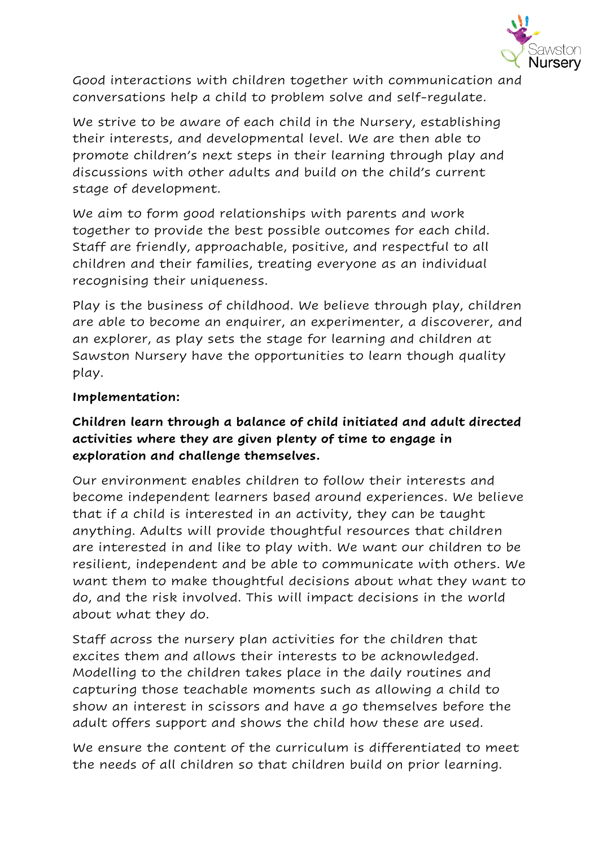

Good interactions with children together with communication and conversations help a child to problem solve and self-regulate.

We strive to be aware of each child in the Nursery, establishing their interests, and developmental level. We are then able to promote children's next steps in their learning through play and discussions with other adults and build on the child's current stage of development.

We aim to form good relationships with parents and work together to provide the best possible outcomes for each child. Staff are friendly, approachable, positive, and respectful to all children and their families, treating everyone as an individual recognising their uniqueness.

Play is the business of childhood. We believe through play, children are able to become an enquirer, an experimenter, a discoverer, and an explorer, as play sets the stage for learning and children at Sawston Nursery have the opportunities to learn though quality play.

## **Implementation:**

# **Children learn through a balance of child initiated and adult directed activities where they are given plenty of time to engage in exploration and challenge themselves.**

Our environment enables children to follow their interests and become independent learners based around experiences. We believe that if a child is interested in an activity, they can be taught anything. Adults will provide thoughtful resources that children are interested in and like to play with. We want our children to be resilient, independent and be able to communicate with others. We want them to make thoughtful decisions about what they want to do, and the risk involved. This will impact decisions in the world about what they do.

Staff across the nursery plan activities for the children that excites them and allows their interests to be acknowledged. Modelling to the children takes place in the daily routines and capturing those teachable moments such as allowing a child to show an interest in scissors and have a go themselves before the adult offers support and shows the child how these are used.

We ensure the content of the curriculum is differentiated to meet the needs of all children so that children build on prior learning.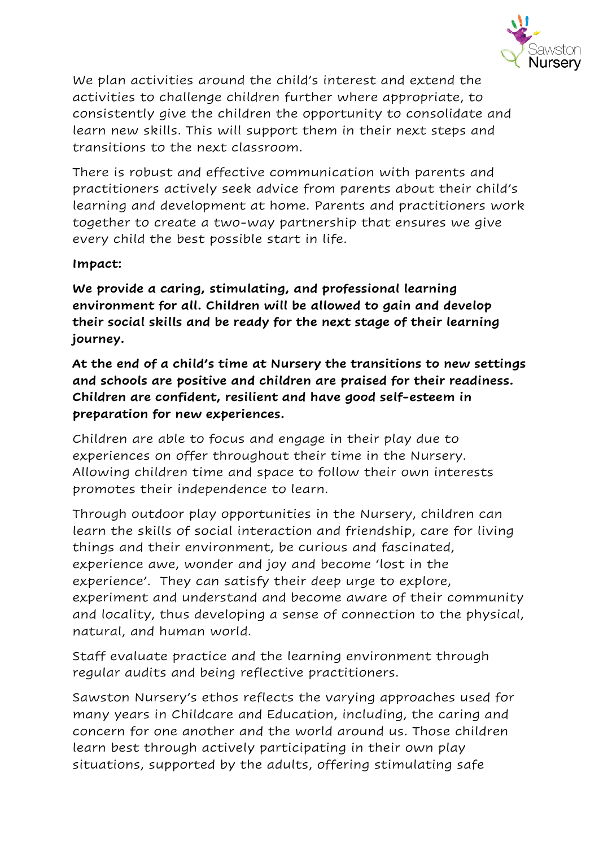

We plan activities around the child's interest and extend the activities to challenge children further where appropriate, to consistently give the children the opportunity to consolidate and learn new skills. This will support them in their next steps and transitions to the next classroom.

There is robust and effective communication with parents and practitioners actively seek advice from parents about their child's learning and development at home. Parents and practitioners work together to create a two-way partnership that ensures we give every child the best possible start in life.

### **Impact:**

**We provide a caring, stimulating, and professional learning environment for all. Children will be allowed to gain and develop their social skills and be ready for the next stage of their learning journey.**

**At the end of a child's time at Nursery the transitions to new settings and schools are positive and children are praised for their readiness. Children are confident, resilient and have good self-esteem in preparation for new experiences.**

Children are able to focus and engage in their play due to experiences on offer throughout their time in the Nursery. Allowing children time and space to follow their own interests promotes their independence to learn.

Through outdoor play opportunities in the Nursery, children can learn the skills of social interaction and friendship, care for living things and their environment, be curious and fascinated, experience awe, wonder and joy and become 'lost in the experience'. They can satisfy their deep urge to explore, experiment and understand and become aware of their community and locality, thus developing a sense of connection to the physical, natural, and human world.

Staff evaluate practice and the learning environment through regular audits and being reflective practitioners.

Sawston Nursery's ethos reflects the varying approaches used for many years in Childcare and Education, including, the caring and concern for one another and the world around us. Those children learn best through actively participating in their own play situations, supported by the adults, offering stimulating safe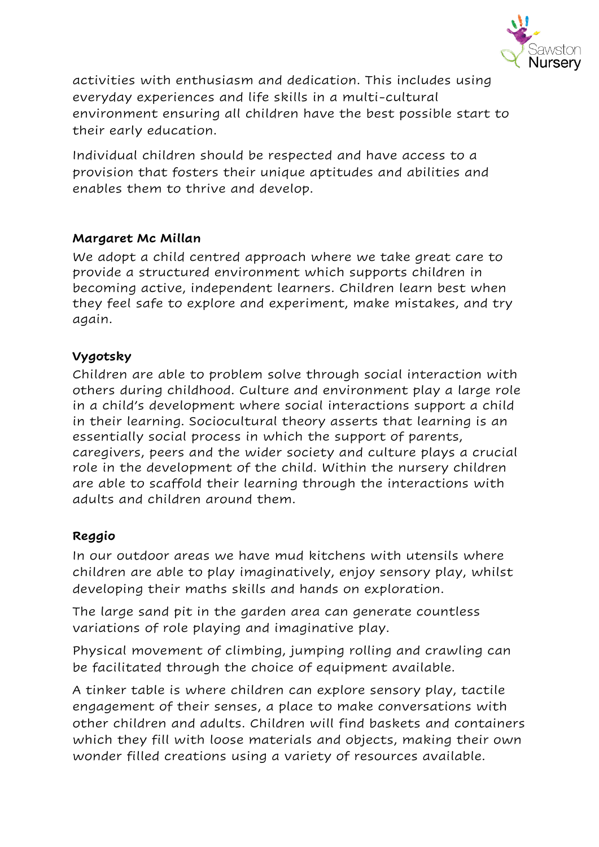

activities with enthusiasm and dedication. This includes using everyday experiences and life skills in a multi-cultural environment ensuring all children have the best possible start to their early education.

Individual children should be respected and have access to a provision that fosters their unique aptitudes and abilities and enables them to thrive and develop.

## **Margaret Mc Millan**

We adopt a child centred approach where we take great care to provide a structured environment which supports children in becoming active, independent learners. Children learn best when they feel safe to explore and experiment, make mistakes, and try again.

### **Vygotsky**

Children are able to problem solve through social interaction with others during childhood. Culture and environment play a large role in a child's development where social interactions support a child in their learning. Sociocultural theory asserts that learning is an essentially social process in which the support of parents, caregivers, peers and the wider society and culture plays a crucial role in the development of the child. Within the nursery children are able to scaffold their learning through the interactions with adults and children around them.

## **Reggio**

In our outdoor areas we have mud kitchens with utensils where children are able to play imaginatively, enjoy sensory play, whilst developing their maths skills and hands on exploration.

The large sand pit in the garden area can generate countless variations of role playing and imaginative play.

Physical movement of climbing, jumping rolling and crawling can be facilitated through the choice of equipment available.

A tinker table is where children can explore sensory play, tactile engagement of their senses, a place to make conversations with other children and adults. Children will find baskets and containers which they fill with loose materials and objects, making their own wonder filled creations using a variety of resources available.